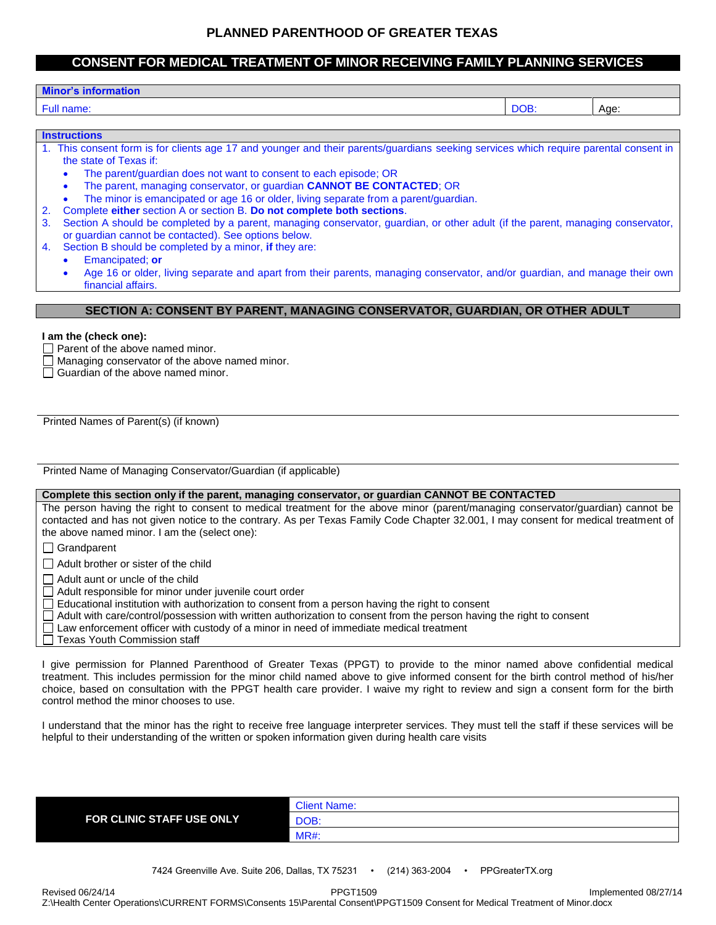# **PLANNED PARENTHOOD OF GREATER TEXAS**

# **CONSENT FOR MEDICAL TREATMENT OF MINOR RECEIVING FAMILY PLANNING SERVICES**

# **Minor's information**

#### Full name: DOB: Age:

#### **Instructions**

| 1. This consent form is for clients age 17 and younger and their parents/guardians seeking services which require parental consent in |  |  |  |  |  |  |
|---------------------------------------------------------------------------------------------------------------------------------------|--|--|--|--|--|--|
| the state of Texas if:                                                                                                                |  |  |  |  |  |  |

- The parent/guardian does not want to consent to each episode; OR
- The parent, managing conservator, or guardian **CANNOT BE CONTACTED**; OR
- The minor is emancipated or age 16 or older, living separate from a parent/guardian.
- 2. Complete **either** section A or section B. **Do not complete both sections**.
- 3. Section A should be completed by a parent, managing conservator, guardian, or other adult (if the parent, managing conservator, or guardian cannot be contacted). See options below.
- 4. Section B should be completed by a minor, **if** they are:

Emancipated; **or**

 Age 16 or older, living separate and apart from their parents, managing conservator, and/or guardian, and manage their own financial affairs.

# **SECTION A: CONSENT BY PARENT, MANAGING CONSERVATOR, GUARDIAN, OR OTHER ADULT**

#### **I am the (check one):**

 $\Box$  Parent of the above named minor.

- $\Box$  Managing conservator of the above named minor.
- $\Box$  Guardian of the above named minor.

Printed Names of Parent(s) (if known)

Printed Name of Managing Conservator/Guardian (if applicable)

#### **Complete this section only if the parent, managing conservator, or guardian CANNOT BE CONTACTED**

The person having the right to consent to medical treatment for the above minor (parent/managing conservator/guardian) cannot be contacted and has not given notice to the contrary. As per Texas Family Code Chapter 32.001, I may consent for medical treatment of the above named minor. I am the (select one):

□ Grandparent

 $\Box$  Adult brother or sister of the child

 $\Box$  Adult aunt or uncle of the child

Adult responsible for minor under juvenile court order

Educational institution with authorization to consent from a person having the right to consent

Adult with care/control/possession with written authorization to consent from the person having the right to consent

Law enforcement officer with custody of a minor in need of immediate medical treatment

Texas Youth Commission staff

I give permission for Planned Parenthood of Greater Texas (PPGT) to provide to the minor named above confidential medical treatment. This includes permission for the minor child named above to give informed consent for the birth control method of his/her choice, based on consultation with the PPGT health care provider. I waive my right to review and sign a consent form for the birth control method the minor chooses to use.

I understand that the minor has the right to receive free language interpreter services. They must tell the staff if these services will be helpful to their understanding of the written or spoken information given during health care visits

|                           | <b>Client Name:</b> |
|---------------------------|---------------------|
| FOR CLINIC STAFF USE ONLY | DOB:                |
|                           | <b>MR#:</b>         |
|                           |                     |